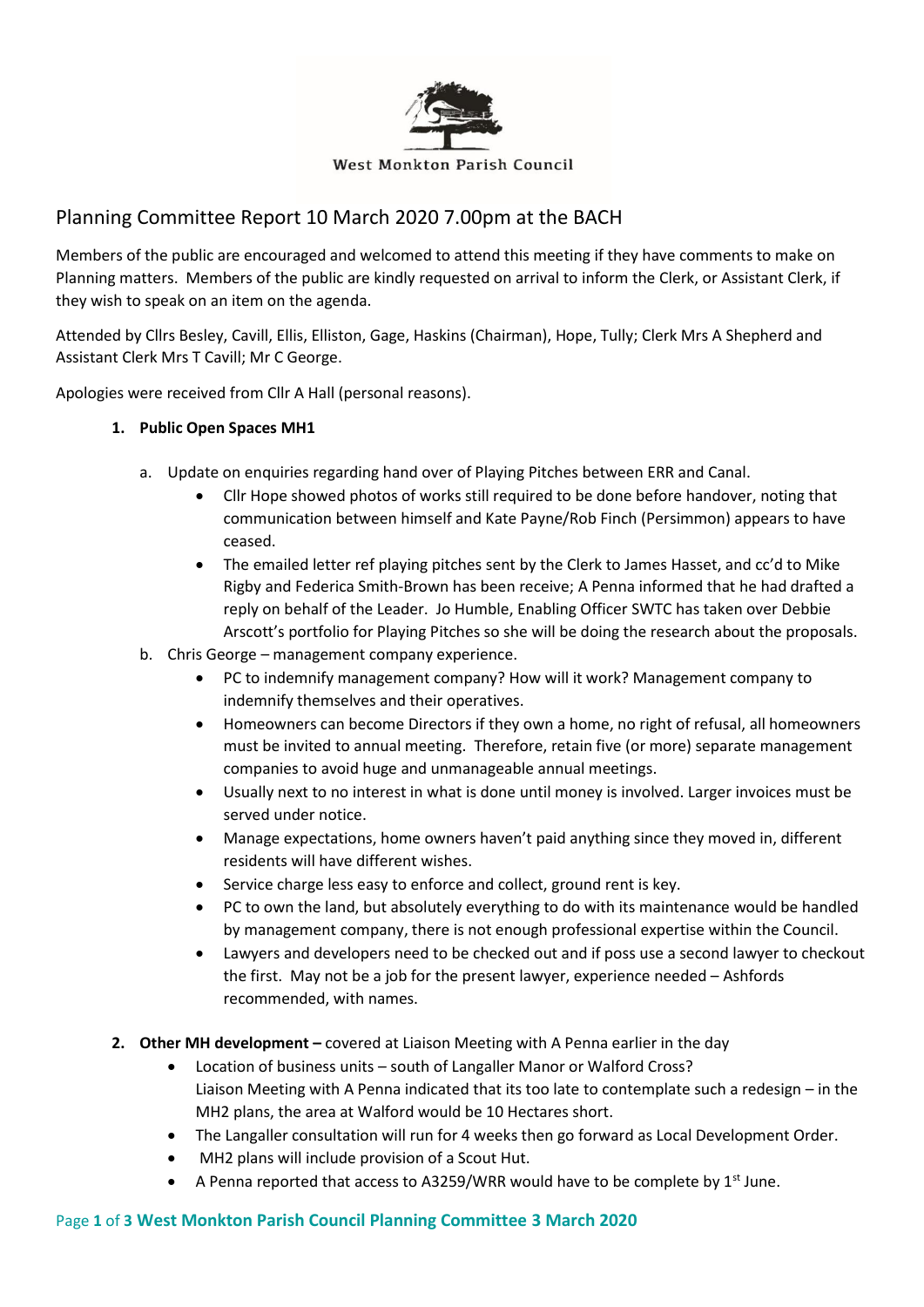

# Planning Committee Report 10 March 2020 7.00pm at the BACH

Members of the public are encouraged and welcomed to attend this meeting if they have comments to make on Planning matters. Members of the public are kindly requested on arrival to inform the Clerk, or Assistant Clerk, if they wish to speak on an item on the agenda.

Attended by Cllrs Besley, Cavill, Ellis, Elliston, Gage, Haskins (Chairman), Hope, Tully; Clerk Mrs A Shepherd and Assistant Clerk Mrs T Cavill; Mr C George.

Apologies were received from Cllr A Hall (personal reasons).

## **1. Public Open Spaces MH1**

- a. Update on enquiries regarding hand over of Playing Pitches between ERR and Canal.
	- Cllr Hope showed photos of works still required to be done before handover, noting that communication between himself and Kate Payne/Rob Finch (Persimmon) appears to have ceased.
	- The emailed letter ref playing pitches sent by the Clerk to James Hasset, and cc'd to Mike Rigby and Federica Smith-Brown has been receive; A Penna informed that he had drafted a reply on behalf of the Leader. Jo Humble, Enabling Officer SWTC has taken over Debbie Arscott's portfolio for Playing Pitches so she will be doing the research about the proposals.
- b. Chris George management company experience.
	- PC to indemnify management company? How will it work? Management company to indemnify themselves and their operatives.
	- Homeowners can become Directors if they own a home, no right of refusal, all homeowners must be invited to annual meeting. Therefore, retain five (or more) separate management companies to avoid huge and unmanageable annual meetings.
	- Usually next to no interest in what is done until money is involved. Larger invoices must be served under notice.
	- Manage expectations, home owners haven't paid anything since they moved in, different residents will have different wishes.
	- Service charge less easy to enforce and collect, ground rent is key.
	- PC to own the land, but absolutely everything to do with its maintenance would be handled by management company, there is not enough professional expertise within the Council.
	- Lawyers and developers need to be checked out and if poss use a second lawyer to checkout the first. May not be a job for the present lawyer, experience needed – Ashfords recommended, with names.
- **2. Other MH development –** covered at Liaison Meeting with A Penna earlier in the day
	- Location of business units south of Langaller Manor or Walford Cross? Liaison Meeting with A Penna indicated that its too late to contemplate such a redesign – in the MH2 plans, the area at Walford would be 10 Hectares short.
	- The Langaller consultation will run for 4 weeks then go forward as Local Development Order.
	- MH2 plans will include provision of a Scout Hut.
	- A Penna reported that access to A3259/WRR would have to be complete by  $1<sup>st</sup>$  June.

## Page **1** of **3 West Monkton Parish Council Planning Committee 3 March 2020**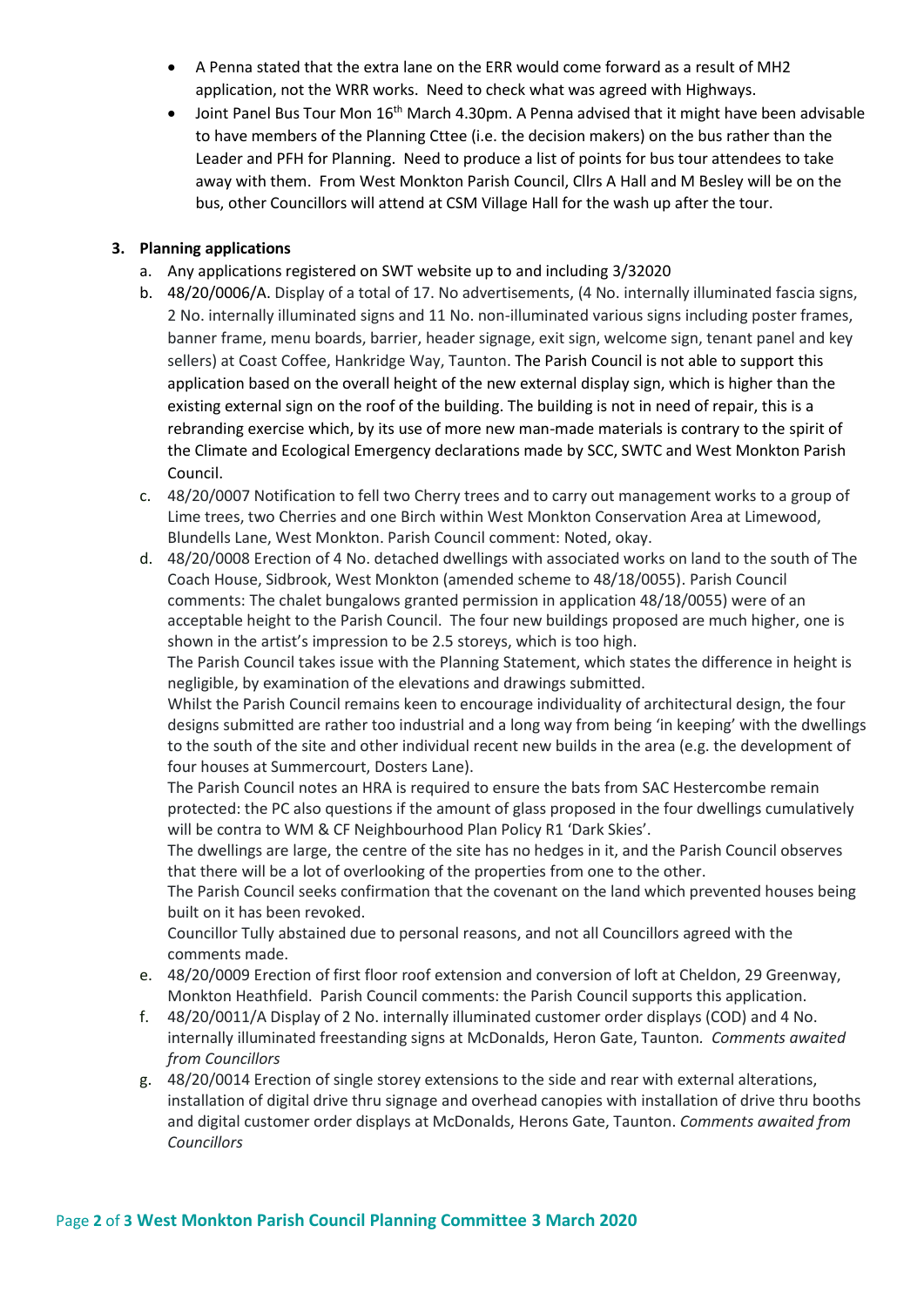- A Penna stated that the extra lane on the ERR would come forward as a result of MH2 application, not the WRR works. Need to check what was agreed with Highways.
- Joint Panel Bus Tour Mon 16th March 4.30pm. A Penna advised that it might have been advisable to have members of the Planning Cttee (i.e. the decision makers) on the bus rather than the Leader and PFH for Planning. Need to produce a list of points for bus tour attendees to take away with them. From West Monkton Parish Council, Cllrs A Hall and M Besley will be on the bus, other Councillors will attend at CSM Village Hall for the wash up after the tour.

### **3. Planning applications**

- a. Any applications registered on SWT website up to and including 3/32020
- b. 48/20/0006/A. Display of a total of 17. No advertisements, (4 No. internally illuminated fascia signs, 2 No. internally illuminated signs and 11 No. non-illuminated various signs including poster frames, banner frame, menu boards, barrier, header signage, exit sign, welcome sign, tenant panel and key sellers) at Coast Coffee, Hankridge Way, Taunton. The Parish Council is not able to support this application based on the overall height of the new external display sign, which is higher than the existing external sign on the roof of the building. The building is not in need of repair, this is a rebranding exercise which, by its use of more new man-made materials is contrary to the spirit of the Climate and Ecological Emergency declarations made by SCC, SWTC and West Monkton Parish Council.
- c. 48/20/0007 Notification to fell two Cherry trees and to carry out management works to a group of Lime trees, two Cherries and one Birch within West Monkton Conservation Area at Limewood, Blundells Lane, West Monkton. Parish Council comment: Noted, okay.
- d. 48/20/0008 Erection of 4 No. detached dwellings with associated works on land to the south of The Coach House, Sidbrook, West Monkton (amended scheme to 48/18/0055). Parish Council comments: The chalet bungalows granted permission in application 48/18/0055) were of an acceptable height to the Parish Council. The four new buildings proposed are much higher, one is shown in the artist's impression to be 2.5 storeys, which is too high.

The Parish Council takes issue with the Planning Statement, which states the difference in height is negligible, by examination of the elevations and drawings submitted.

Whilst the Parish Council remains keen to encourage individuality of architectural design, the four designs submitted are rather too industrial and a long way from being 'in keeping' with the dwellings to the south of the site and other individual recent new builds in the area (e.g. the development of four houses at Summercourt, Dosters Lane).

The Parish Council notes an HRA is required to ensure the bats from SAC Hestercombe remain protected: the PC also questions if the amount of glass proposed in the four dwellings cumulatively will be contra to WM & CF Neighbourhood Plan Policy R1 'Dark Skies'.

The dwellings are large, the centre of the site has no hedges in it, and the Parish Council observes that there will be a lot of overlooking of the properties from one to the other.

The Parish Council seeks confirmation that the covenant on the land which prevented houses being built on it has been revoked.

Councillor Tully abstained due to personal reasons, and not all Councillors agreed with the comments made.

- e. 48/20/0009 Erection of first floor roof extension and conversion of loft at Cheldon, 29 Greenway, Monkton Heathfield. Parish Council comments: the Parish Council supports this application.
- f. 48/20/0011/A Display of 2 No. internally illuminated customer order displays (COD) and 4 No. internally illuminated freestanding signs at McDonalds, Heron Gate, Taunton*. Comments awaited from Councillors*
- g. 48/20/0014 Erection of single storey extensions to the side and rear with external alterations, installation of digital drive thru signage and overhead canopies with installation of drive thru booths and digital customer order displays at McDonalds, Herons Gate, Taunton. *Comments awaited from Councillors*